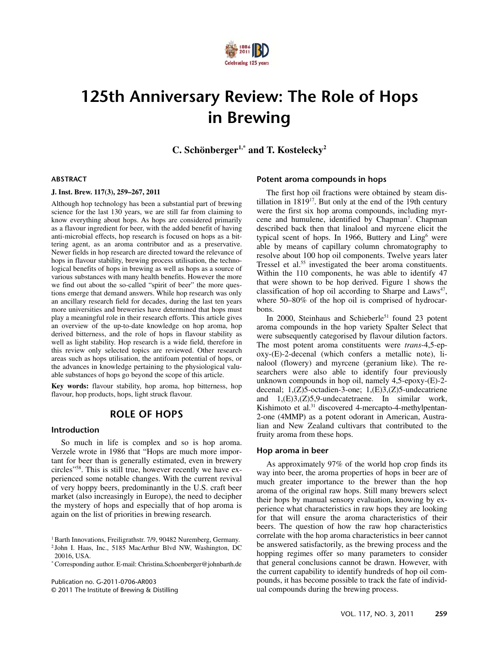

# **125th Anniversary Review: The Role of Hops in Brewing**

**C. Schönberger<sup>1,\*</sup> and T. Kostelecky<sup>2</sup>** 

#### **ABSTRACT**

#### **J. Inst. Brew. 117(3), 259–267, 2011**

Although hop technology has been a substantial part of brewing science for the last 130 years, we are still far from claiming to know everything about hops. As hops are considered primarily as a flavour ingredient for beer, with the added benefit of having anti-microbial effects, hop research is focused on hops as a bittering agent, as an aroma contributor and as a preservative. Newer fields in hop research are directed toward the relevance of hops in flavour stability, brewing process utilisation, the technological benefits of hops in brewing as well as hops as a source of various substances with many health benefits. However the more we find out about the so-called "spirit of beer" the more questions emerge that demand answers. While hop research was only an ancillary research field for decades, during the last ten years more universities and breweries have determined that hops must play a meaningful role in their research efforts. This article gives an overview of the up-to-date knowledge on hop aroma, hop derived bitterness, and the role of hops in flavour stability as well as light stability. Hop research is a wide field, therefore in this review only selected topics are reviewed. Other research areas such as hops utilisation, the antifoam potential of hops, or the advances in knowledge pertaining to the physiological valuable substances of hops go beyond the scope of this article.

**Key words:** flavour stability, hop aroma, hop bitterness, hop flavour, hop products, hops, light struck flavour.

## **ROLE OF HOPS**

## **Introduction**

So much in life is complex and so is hop aroma. Verzele wrote in 1986 that "Hops are much more important for beer than is generally estimated, even in brewery circles"58. This is still true, however recently we have experienced some notable changes. With the current revival of very hoppy beers, predominantly in the U.S. craft beer market (also increasingly in Europe), the need to decipher the mystery of hops and especially that of hop aroma is again on the list of priorities in brewing research.

\* Corresponding author. E-mail: Christina.Schoenberger@johnbarth.de

Publication no. G-2011-0706-AR003

© 2011 The Institute of Brewing & Distilling

#### **Potent aroma compounds in hops**

The first hop oil fractions were obtained by steam distillation in 1819<sup>17</sup>. But only at the end of the 19th century were the first six hop aroma compounds, including myrcene and humulene, identified by Chapman<sup>7</sup>. Chapman described back then that linalool and myrcene elicit the typical scent of hops. In 1966, Buttery and Ling<sup>6</sup> were able by means of capillary column chromatography to resolve about 100 hop oil components. Twelve years later Tressel et al.55 investigated the beer aroma constituents. Within the 110 components, he was able to identify 47 that were shown to be hop derived. Figure 1 shows the classification of hop oil according to Sharpe and  $Laws^{47}$ , where 50–80% of the hop oil is comprised of hydrocarbons.

In 2000, Steinhaus and Schieberle<sup>51</sup> found 23 potent aroma compounds in the hop variety Spalter Select that were subsequently categorised by flavour dilution factors. The most potent aroma constituents were *trans*-4,5-epoxy-(E)-2-decenal (which confers a metallic note), linalool (flowery) and myrcene (geranium like). The researchers were also able to identify four previously unknown compounds in hop oil, namely 4,5-epoxy-(E)-2 decenal; 1,(Z)5-octadien-3-one; 1,(E)3,(Z)5-undecatriene and 1,(E)3,(Z)5,9-undecatetraene. In similar work, Kishimoto et al.<sup>31</sup> discovered 4-mercapto-4-methylpentan-2-one (4MMP) as a potent odorant in American, Australian and New Zealand cultivars that contributed to the fruity aroma from these hops.

#### **Hop aroma in beer**

As approximately 97% of the world hop crop finds its way into beer, the aroma properties of hops in beer are of much greater importance to the brewer than the hop aroma of the original raw hops. Still many brewers select their hops by manual sensory evaluation, knowing by experience what characteristics in raw hops they are looking for that will ensure the aroma characteristics of their beers. The question of how the raw hop characteristics correlate with the hop aroma characteristics in beer cannot be answered satisfactorily, as the brewing process and the hopping regimes offer so many parameters to consider that general conclusions cannot be drawn. However, with the current capability to identify hundreds of hop oil compounds, it has become possible to track the fate of individual compounds during the brewing process.

<sup>&</sup>lt;sup>1</sup> Barth Innovations, Freiligrathstr. 7/9, 90482 Nuremberg, Germany. 2 John I. Haas, Inc., 5185 MacArthur Blvd NW, Washington, DC 20016, USA.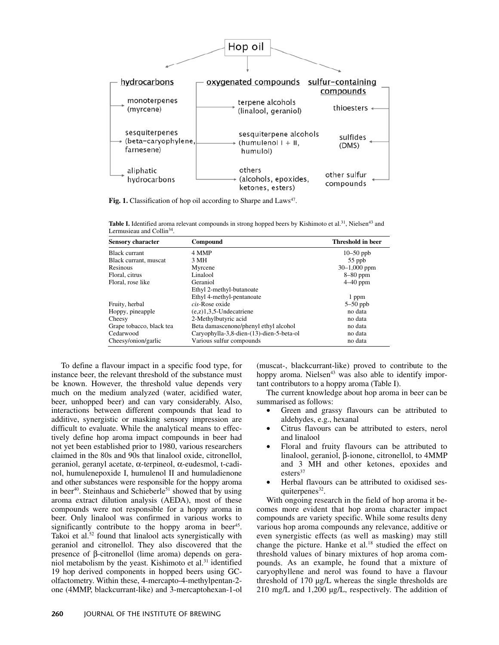

Fig. 1. Classification of hop oil according to Sharpe and Laws<sup>47</sup>.

Table I. Identified aroma relevant compounds in strong hopped beers by Kishimoto et al.<sup>31</sup>, Nielsen<sup>43</sup> and Lermusieau and Collin<sup>34</sup>.

| <b>Sensory character</b> | Compound                                 | Threshold in beer |
|--------------------------|------------------------------------------|-------------------|
| <b>Black currant</b>     | 4 MMP                                    | $10-50$ ppb       |
| Black currant, muscat    | 3 MH                                     | 55 ppb            |
| Resinous                 | Myrcene                                  | $30-1,000$ ppm    |
| Floral, citrus           | Linalool                                 | $8-80$ ppm        |
| Floral, rose like        | Geraniol                                 | $4-40$ ppm        |
|                          | Ethyl 2-methyl-butanoate                 |                   |
|                          | Ethyl 4-methyl-pentanoate                | 1 ppm             |
| Fruity, herbal           | $cis$ -Rose oxide                        | $5-50$ ppb        |
| Hoppy, pineapple         | $(e,z)1,3,5$ -Undecatriene               | no data           |
| Cheesy                   | 2-Methylbutyric acid                     | no data           |
| Grape tobacco, black tea | Beta damascenone/phenyl ethyl alcohol    | no data           |
| Cedarwood                | Caryophylla-3,8-dien-(13)-dien-5-beta-ol | no data           |
| Cheesy/onion/garlic      | Various sulfur compounds                 | no data           |

To define a flavour impact in a specific food type, for instance beer, the relevant threshold of the substance must be known. However, the threshold value depends very much on the medium analyzed (water, acidified water, beer, unhopped beer) and can vary considerably. Also, interactions between different compounds that lead to additive, synergistic or masking sensory impression are difficult to evaluate. While the analytical means to effectively define hop aroma impact compounds in beer had not yet been established prior to 1980, various researchers claimed in the 80s and 90s that linalool oxide, citronellol, geraniol, geranyl acetate, α-terpineol, α-eudesmol, t-cadinol, humulenepoxide I, humulenol II and humuladienone and other substances were responsible for the hoppy aroma in beer<sup>40</sup>. Steinhaus and Schieberle<sup>51</sup> showed that by using aroma extract dilution analysis (AEDA), most of these compounds were not responsible for a hoppy aroma in beer. Only linalool was confirmed in various works to significantly contribute to the hoppy aroma in beer<sup>45</sup>. Takoi et al.<sup>52</sup> found that linalool acts synergistically with geraniol and citronellol. They also discovered that the presence of β-citronellol (lime aroma) depends on geraniol metabolism by the yeast. Kishimoto et al. $31$  identified 19 hop derived components in hopped beers using GColfactometry. Within these, 4-mercapto-4-methylpentan-2 one (4MMP, blackcurrant-like) and 3-mercaptohexan-1-ol (muscat-, blackcurrant-like) proved to contribute to the hoppy aroma. Nielsen $43$  was also able to identify important contributors to a hoppy aroma (Table I).

The current knowledge about hop aroma in beer can be summarised as follows:

- Green and grassy flavours can be attributed to aldehydes, e.g., hexanal
- Citrus flavours can be attributed to esters, nerol and linalool
- Floral and fruity flavours can be attributed to linalool, geraniol, β-ionone, citronellol, to 4MMP and 3 MH and other ketones, epoxides and esters<sup>37</sup>
- Herbal flavours can be attributed to oxidised sesquiterpenes $32$ .

With ongoing research in the field of hop aroma it becomes more evident that hop aroma character impact compounds are variety specific. While some results deny various hop aroma compounds any relevance, additive or even synergistic effects (as well as masking) may still change the picture. Hanke et al.<sup>18</sup> studied the effect on threshold values of binary mixtures of hop aroma compounds. As an example, he found that a mixture of caryophyllene and nerol was found to have a flavour threshold of 170 µg/L whereas the single thresholds are 210 mg/L and 1,200 µg/L, respectively. The addition of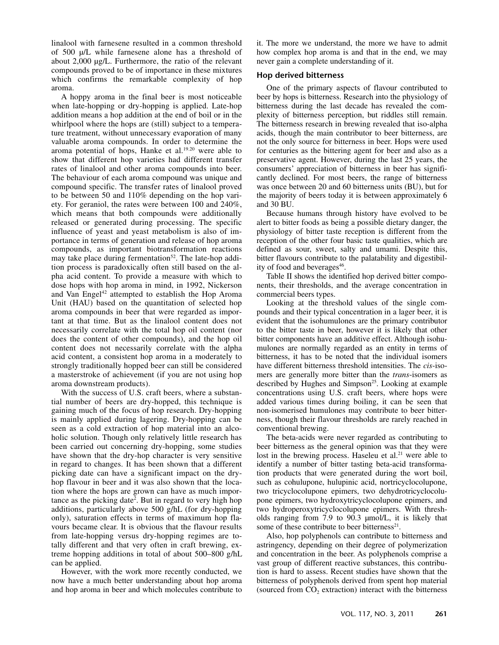linalool with farnesene resulted in a common threshold of 500 µ/L while farnesene alone has a threshold of about 2,000 µg/L. Furthermore, the ratio of the relevant compounds proved to be of importance in these mixtures which confirms the remarkable complexity of hop aroma.

A hoppy aroma in the final beer is most noticeable when late-hopping or dry-hopping is applied. Late-hop addition means a hop addition at the end of boil or in the whirlpool where the hops are (still) subject to a temperature treatment, without unnecessary evaporation of many valuable aroma compounds. In order to determine the aroma potential of hops, Hanke et al.19.20 were able to show that different hop varieties had different transfer rates of linalool and other aroma compounds into beer. The behaviour of each aroma compound was unique and compound specific. The transfer rates of linalool proved to be between 50 and 110% depending on the hop variety. For geraniol, the rates were between 100 and 240%, which means that both compounds were additionally released or generated during processing. The specific influence of yeast and yeast metabolism is also of importance in terms of generation and release of hop aroma compounds, as important biotransformation reactions may take place during fermentation<sup>52</sup>. The late-hop addition process is paradoxically often still based on the alpha acid content. To provide a measure with which to dose hops with hop aroma in mind, in 1992, Nickerson and Van Engel<sup>42</sup> attempted to establish the Hop Aroma Unit (HAU) based on the quantitation of selected hop aroma compounds in beer that were regarded as important at that time. But as the linalool content does not necessarily correlate with the total hop oil content (nor does the content of other compounds), and the hop oil content does not necessarily correlate with the alpha acid content, a consistent hop aroma in a moderately to strongly traditionally hopped beer can still be considered a masterstroke of achievement (if you are not using hop aroma downstream products).

With the success of U.S. craft beers, where a substantial number of beers are dry-hopped, this technique is gaining much of the focus of hop research. Dry-hopping is mainly applied during lagering. Dry-hopping can be seen as a cold extraction of hop material into an alcoholic solution. Though only relatively little research has been carried out concerning dry-hopping, some studies have shown that the dry-hop character is very sensitive in regard to changes. It has been shown that a different picking date can have a significant impact on the dryhop flavour in beer and it was also shown that the location where the hops are grown can have as much importance as the picking date<sup>2</sup>. But in regard to very high hop additions, particularly above 500 g/hL (for dry-hopping only), saturation effects in terms of maximum hop flavours became clear. It is obvious that the flavour results from late-hopping versus dry-hopping regimes are totally different and that very often in craft brewing, extreme hopping additions in total of about 500–800 g/hL can be applied.

However, with the work more recently conducted, we now have a much better understanding about hop aroma and hop aroma in beer and which molecules contribute to it. The more we understand, the more we have to admit how complex hop aroma is and that in the end, we may never gain a complete understanding of it.

#### **Hop derived bitterness**

One of the primary aspects of flavour contributed to beer by hops is bitterness. Research into the physiology of bitterness during the last decade has revealed the complexity of bitterness perception, but riddles still remain. The bitterness research in brewing revealed that iso-alpha acids, though the main contributor to beer bitterness, are not the only source for bitterness in beer. Hops were used for centuries as the bittering agent for beer and also as a preservative agent. However, during the last 25 years, the consumers' appreciation of bitterness in beer has significantly declined. For most beers, the range of bitterness was once between 20 and 60 bitterness units (BU), but for the majority of beers today it is between approximately 6 and 30 BU.

Because humans through history have evolved to be alert to bitter foods as being a possible dietary danger, the physiology of bitter taste reception is different from the reception of the other four basic taste qualities, which are defined as sour, sweet, salty and umami. Despite this, bitter flavours contribute to the palatability and digestibility of food and beverages<sup>46</sup>.

Table II shows the identified hop derived bitter components, their thresholds, and the average concentration in commercial beers types.

Looking at the threshold values of the single compounds and their typical concentration in a lager beer, it is evident that the isohumulones are the primary contributor to the bitter taste in beer, however it is likely that other bitter components have an additive effect. Although isohumulones are normally regarded as an entity in terms of bitterness, it has to be noted that the individual isomers have different bitterness threshold intensities. The *cis*-isomers are generally more bitter than the *trans*-isomers as described by Hughes and Simpson<sup>25</sup>. Looking at example concentrations using U.S. craft beers, where hops were added various times during boiling, it can be seen that non-isomerised humulones may contribute to beer bitterness, though their flavour thresholds are rarely reached in conventional brewing.

The beta-acids were never regarded as contributing to beer bitterness as the general opinion was that they were lost in the brewing process. Haseleu et al. $21$  were able to identify a number of bitter tasting beta-acid transformation products that were generated during the wort boil, such as cohulupone, hulupinic acid, nortricyclocolupone, two tricyclocolupone epimers, two dehydrotricyclocolupone epimers, two hydroxytricyclocolupone epimers, and two hydroperoxytricyclocolupone epimers. With thresholds ranging from 7.9 to 90.3 µmol/L, it is likely that some of these contribute to beer bitterness $21$ .

Also, hop polyphenols can contribute to bitterness and astringency, depending on their degree of polymerization and concentration in the beer. As polyphenols comprise a vast group of different reactive substances, this contribution is hard to assess. Recent studies have shown that the bitterness of polyphenols derived from spent hop material (sourced from  $CO<sub>2</sub>$  extraction) interact with the bitterness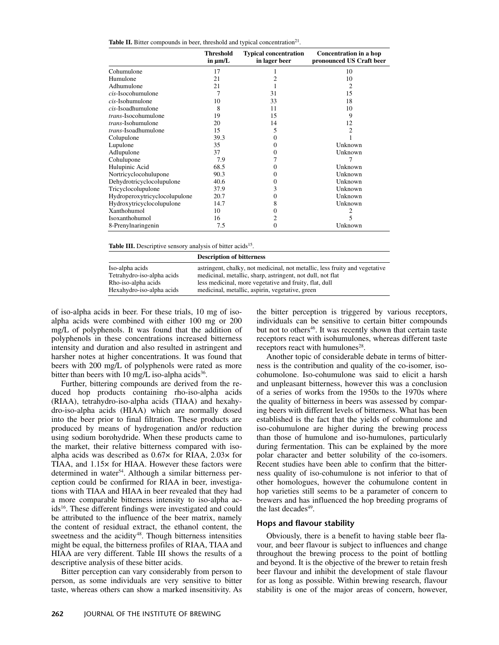| Table II. Bitter compounds in beer, threshold and typical concentration <sup>21</sup> . |
|-----------------------------------------------------------------------------------------|
|-----------------------------------------------------------------------------------------|

|                               | <b>Threshold</b><br>in $\mu$ m/L | <b>Typical concentration</b><br>in lager beer | Concentration in a hop<br>pronounced US Craft beer |
|-------------------------------|----------------------------------|-----------------------------------------------|----------------------------------------------------|
| Cohumulone                    | 17                               |                                               | 10                                                 |
| Humulone                      | 21                               | 2                                             | 10                                                 |
| Adhumulone                    | 21                               |                                               | 2                                                  |
| $cis$ -Isocohumulone          | 7                                | 31                                            | 15                                                 |
| $cis$ -Isohumulone            | 10                               | 33                                            | 18                                                 |
| $cis$ -Isoadhumulone          | 8                                | 11                                            | 10                                                 |
| <i>trans</i> -Isocohumulone   | 19                               | 15                                            | 9                                                  |
| <i>trans</i> -Isohumulone     | 20                               | 14                                            | 12                                                 |
| <i>trans</i> -Isoadhumulone   | 15                               | 5                                             | 2                                                  |
| Colupulone                    | 39.3                             | 0                                             |                                                    |
| Lupulone                      | 35                               | 0                                             | Unknown                                            |
| Adlupulone                    | 37                               | 0                                             | Unknown                                            |
| Cohulupone                    | 7.9                              |                                               |                                                    |
| Hulupinic Acid                | 68.5                             | 0                                             | Unknown                                            |
| Nortricyclocohulupone         | 90.3                             | 0                                             | Unknown                                            |
| Dehydrotricyclocolupulone     | 40.6                             | 0                                             | Unknown                                            |
| Tricyclocolupulone            | 37.9                             | 3                                             | Unknown                                            |
| Hydroperoxytricyclocolupulone | 20.7                             | 0                                             | Unknown                                            |
| Hydroxytricyclocolupulone     | 14.7                             | 8                                             | Unknown                                            |
| Xanthohumol                   | 10                               | $\overline{0}$                                | 2                                                  |
| Isoxanthohumol                | 16                               | 2                                             | 5                                                  |
| 8-Prenylnaringenin            | 7.5                              | $\overline{0}$                                | Unknown                                            |

Table III. Descriptive sensory analysis of bitter acids<sup>15</sup>.

|                                                                                                   | <b>Description of bitterness</b>                                                                                                                                                                                                                       |
|---------------------------------------------------------------------------------------------------|--------------------------------------------------------------------------------------------------------------------------------------------------------------------------------------------------------------------------------------------------------|
| Iso-alpha acids<br>Tetrahydro-iso-alpha acids<br>Rho-iso-alpha acids<br>Hexahydro-iso-alpha acids | astringent, chalky, not medicinal, not metallic, less fruity and vegetative<br>medicinal, metallic, sharp, astringent, not dull, not flat<br>less medicinal, more vegetative and fruity, flat, dull<br>medicinal, metallic, aspirin, vegetative, green |
|                                                                                                   |                                                                                                                                                                                                                                                        |

of iso-alpha acids in beer. For these trials, 10 mg of isoalpha acids were combined with either 100 mg or 200 mg/L of polyphenols. It was found that the addition of polyphenols in these concentrations increased bitterness intensity and duration and also resulted in astringent and harsher notes at higher concentrations. It was found that beers with 200 mg/L of polyphenols were rated as more bitter than beers with 10 mg/L iso-alpha acids<sup>36</sup>.

Further, bittering compounds are derived from the reduced hop products containing rho-iso-alpha acids (RIAA), tetrahydro-iso-alpha acids (TIAA) and hexahydro-iso-alpha acids (HIAA) which are normally dosed into the beer prior to final filtration. These products are produced by means of hydrogenation and/or reduction using sodium borohydride. When these products came to the market, their relative bitterness compared with isoalpha acids was described as 0.67× for RIAA, 2.03× for TIAA, and 1.15× for HIAA. However these factors were determined in water<sup>54</sup>. Although a similar bitterness perception could be confirmed for RIAA in beer, investigations with TIAA and HIAA in beer revealed that they had a more comparable bitterness intensity to iso-alpha acids<sup>16</sup>. These different findings were investigated and could be attributed to the influence of the beer matrix, namely the content of residual extract, the ethanol content, the sweetness and the acidity<sup>48</sup>. Though bitterness intensities might be equal, the bitterness profiles of RIAA, TIAA and HIAA are very different. Table III shows the results of a descriptive analysis of these bitter acids.

Bitter perception can vary considerably from person to person, as some individuals are very sensitive to bitter taste, whereas others can show a marked insensitivity. As the bitter perception is triggered by various receptors, individuals can be sensitive to certain bitter compounds but not to others<sup>46</sup>. It was recently shown that certain taste receptors react with isohumulones, whereas different taste receptors react with humulones<sup>28</sup>.

Another topic of considerable debate in terms of bitterness is the contribution and quality of the co-isomer, isocohumolone. Iso-cohumulone was said to elicit a harsh and unpleasant bitterness, however this was a conclusion of a series of works from the 1950s to the 1970s where the quality of bitterness in beers was assessed by comparing beers with different levels of bitterness. What has been established is the fact that the yields of cohumulone and iso-cohumulone are higher during the brewing process than those of humulone and iso-humulones, particularly during fermentation. This can be explained by the more polar character and better solubility of the co-isomers. Recent studies have been able to confirm that the bitterness quality of iso-cohumulone is not inferior to that of other homologues, however the cohumulone content in hop varieties still seems to be a parameter of concern to brewers and has influenced the hop breeding programs of the last decades<sup>49</sup>.

## **Hops and flavour stability**

Obviously, there is a benefit to having stable beer flavour, and beer flavour is subject to influences and change throughout the brewing process to the point of bottling and beyond. It is the objective of the brewer to retain fresh beer flavour and inhibit the development of stale flavour for as long as possible. Within brewing research, flavour stability is one of the major areas of concern, however,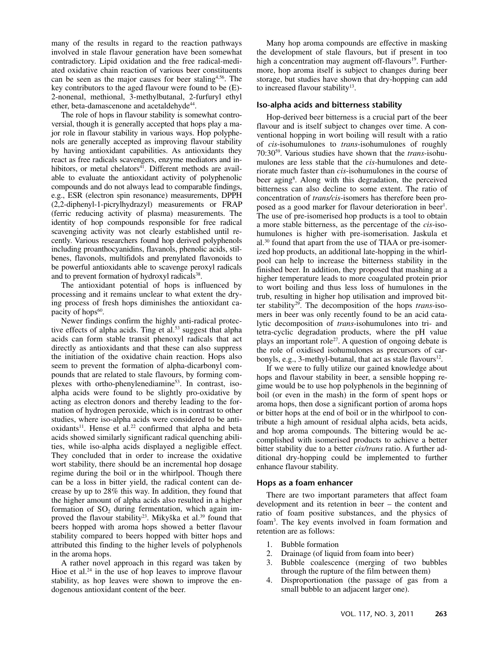many of the results in regard to the reaction pathways involved in stale flavour generation have been somewhat contradictory. Lipid oxidation and the free radical-mediated oxidative chain reaction of various beer constituents can be seen as the major causes for beer staling4,56. The key contributors to the aged flavour were found to be (E)- 2-nonenal, methional, 3-methylbutanal, 2-furfuryl ethyl ether, beta-damascenone and acetaldehyde<sup>44</sup>.

The role of hops in flavour stability is somewhat controversial, though it is generally accepted that hops play a major role in flavour stability in various ways. Hop polyphenols are generally accepted as improving flavour stability by having antioxidant capabilities. As antioxidants they react as free radicals scavengers, enzyme mediators and inhibitors, or metal chelators<sup>41</sup>. Different methods are available to evaluate the antioxidant activity of polyphenolic compounds and do not always lead to comparable findings, e.g., ESR (electron spin resonance) measurements, DPPH (2,2-diphenyl-1-picrylhydrazyl) measurements or FRAP (ferric reducing activity of plasma) measurements. The identity of hop compounds responsible for free radical scavenging activity was not clearly established until recently. Various researchers found hop derived polyphenols including proanthocyanidins, flavanols, phenolic acids, stilbenes, flavonols, multifidols and prenylated flavonoids to be powerful antioxidants able to scavenge peroxyl radicals and to prevent formation of hydroxyl radicals<sup>38</sup>.

The antioxidant potential of hops is influenced by processing and it remains unclear to what extent the drying process of fresh hops diminishes the antioxidant capacity of hops $60$ .

Newer findings confirm the highly anti-radical protective effects of alpha acids. Ting et al. $53$  suggest that alpha acids can form stable transit phenoxyl radicals that act directly as antioxidants and that these can also suppress the initiation of the oxidative chain reaction. Hops also seem to prevent the formation of alpha-dicarbonyl compounds that are related to stale flavours, by forming complexes with ortho-phenylenediamine<sup>53</sup>. In contrast, isoalpha acids were found to be slightly pro-oxidative by acting as electron donors and thereby leading to the formation of hydrogen peroxide, which is in contrast to other studies, where iso-alpha acids were considered to be antioxidants<sup>11</sup>. Hense et al.<sup>22</sup> confirmed that alpha and beta acids showed similarly significant radical quenching abilities, while iso-alpha acids displayed a negligible effect. They concluded that in order to increase the oxidative wort stability, there should be an incremental hop dosage regime during the boil or in the whirlpool. Though there can be a loss in bitter yield, the radical content can decrease by up to 28% this way. In addition, they found that the higher amount of alpha acids also resulted in a higher formation of  $SO<sub>2</sub>$  during fermentation, which again improved the flavour stability<sup>23</sup>. Mikyška et al.<sup>39</sup> found that beers hopped with aroma hops showed a better flavour stability compared to beers hopped with bitter hops and attributed this finding to the higher levels of polyphenols in the aroma hops.

A rather novel approach in this regard was taken by Hioe et al. $24$  in the use of hop leaves to improve flavour stability, as hop leaves were shown to improve the endogenous antioxidant content of the beer.

Many hop aroma compounds are effective in masking the development of stale flavours, but if present in too high a concentration may augment off-flavours<sup>19</sup>. Furthermore, hop aroma itself is subject to changes during beer storage, but studies have shown that dry-hopping can add to increased flavour stability<sup>13</sup>.

## **Iso-alpha acids and bitterness stability**

Hop-derived beer bitterness is a crucial part of the beer flavour and is itself subject to changes over time. A conventional hopping in wort boiling will result with a ratio of *cis*-isohumulones to *trans*-isohumulones of roughly 70:3059. Various studies have shown that the *trans*-isohumulones are less stable that the *cis*-humulones and deteriorate much faster than *cis*-isohumulones in the course of beer aging<sup>8</sup>. Along with this degradation, the perceived bitterness can also decline to some extent. The ratio of concentration of *trans/cis*-isomers has therefore been proposed as a good marker for flavour deterioration in beer<sup>1</sup>. The use of pre-isomerised hop products is a tool to obtain a more stable bitterness, as the percentage of the *cis*-isohumulones is higher with pre-isomerisation. Jaskula et al.30 found that apart from the use of TIAA or pre-isomerized hop products, an additional late-hopping in the whirlpool can help to increase the bitterness stability in the finished beer. In addition, they proposed that mashing at a higher temperature leads to more coagulated protein prior to wort boiling and thus less loss of humulones in the trub, resulting in higher hop utilisation and improved bitter stability29. The decomposition of the hops *trans*-isomers in beer was only recently found to be an acid catalytic decomposition of *trans*-isohumulones into tri- and tetra-cyclic degradation products, where the pH value plays an important role<sup>27</sup>. A question of ongoing debate is the role of oxidised isohumulones as precursors of carbonyls, e.g., 3-methyl-butanal, that act as stale flavours $12$ .

If we were to fully utilize our gained knowledge about hops and flavour stability in beer, a sensible hopping regime would be to use hop polyphenols in the beginning of boil (or even in the mash) in the form of spent hops or aroma hops, then dose a significant portion of aroma hops or bitter hops at the end of boil or in the whirlpool to contribute a high amount of residual alpha acids, beta acids, and hop aroma compounds. The bittering would be accomplished with isomerised products to achieve a better bitter stability due to a better *cis/trans* ratio. A further additional dry-hopping could be implemented to further enhance flavour stability.

## **Hops as a foam enhancer**

There are two important parameters that affect foam development and its retention in beer – the content and ratio of foam positive substances, and the physics of foam3 . The key events involved in foam formation and retention are as follows:

- 1. Bubble formation
- 2. Drainage (of liquid from foam into beer)
- 3. Bubble coalescence (merging of two bubbles through the rupture of the film between them)
- 4. Disproportionation (the passage of gas from a small bubble to an adjacent larger one).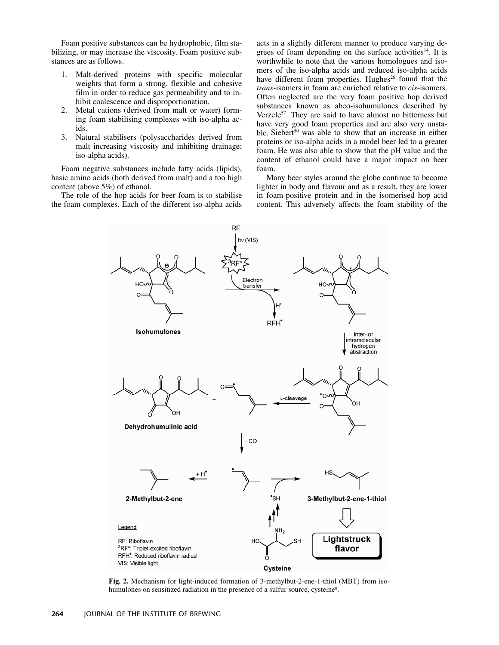Foam positive substances can be hydrophobic, film stabilizing, or may increase the viscosity. Foam positive substances are as follows.

- 1. Malt-derived proteins with specific molecular weights that form a strong, flexible and cohesive film in order to reduce gas permeability and to inhibit coalescence and disproportionation.
- 2. Metal cations (derived from malt or water) forming foam stabilising complexes with iso-alpha acids.
- 3. Natural stabilisers (polysaccharides derived from malt increasing viscosity and inhibiting drainage; iso-alpha acids).

Foam negative substances include fatty acids (lipids), basic amino acids (both derived from malt) and a too high content (above 5%) of ethanol.

The role of the hop acids for beer foam is to stabilise the foam complexes. Each of the different iso-alpha acids acts in a slightly different manner to produce varying degrees of foam depending on the surface activities<sup>14</sup>. It is worthwhile to note that the various homologues and isomers of the iso-alpha acids and reduced iso-alpha acids have different foam properties. Hughes<sup>26</sup> found that the *trans*-isomers in foam are enriched relative to *cis*-isomers. Often neglected are the very foam positive hop derived substances known as abeo-isohumulones described by Verzele<sup>57</sup>. They are said to have almost no bitterness but have very good foam properties and are also very unstable. Siebert<sup>50</sup> was able to show that an increase in either proteins or iso-alpha acids in a model beer led to a greater foam. He was also able to show that the pH value and the content of ethanol could have a major impact on beer foam.

Many beer styles around the globe continue to become lighter in body and flavour and as a result, they are lower in foam-positive protein and in the isomerised hop acid content. This adversely affects the foam stability of the



**Fig. 2.** Mechanism for light-induced formation of 3-methylbut-2-ene-1-thiol (MBT) from isohumulones on sensitized radiation in the presence of a sulfur source, cysteine<sup>9</sup>.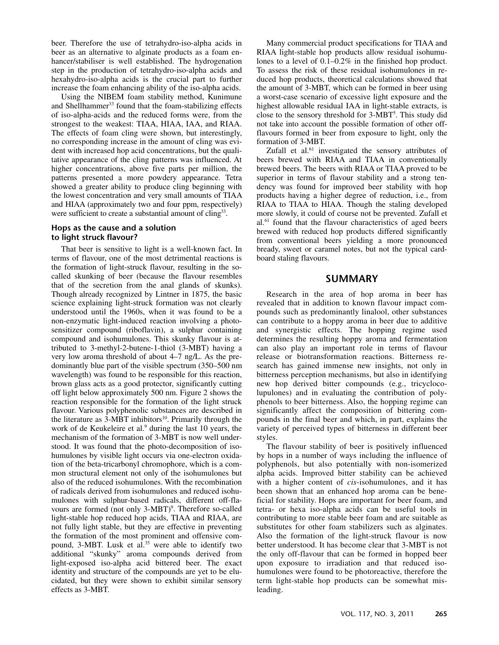beer. Therefore the use of tetrahydro-iso-alpha acids in beer as an alternative to alginate products as a foam enhancer/stabiliser is well established. The hydrogenation step in the production of tetrahydro-iso-alpha acids and hexahydro-iso-alpha acids is the crucial part to further increase the foam enhancing ability of the iso-alpha acids.

Using the NIBEM foam stability method, Kunimune and Shellhammer<sup>33</sup> found that the foam-stabilizing effects of iso-alpha-acids and the reduced forms were, from the strongest to the weakest: TIAA, HIAA, IAA, and RIAA. The effects of foam cling were shown, but interestingly, no corresponding increase in the amount of cling was evident with increased hop acid concentrations, but the qualitative appearance of the cling patterns was influenced. At higher concentrations, above five parts per million, the patterns presented a more powdery appearance. Tetra showed a greater ability to produce cling beginning with the lowest concentration and very small amounts of TIAA and HIAA (approximately two and four ppm, respectively) were sufficient to create a substantial amount of cling<sup>33</sup>.

## **Hops as the cause and a solution to light struck flavour?**

That beer is sensitive to light is a well-known fact. In terms of flavour, one of the most detrimental reactions is the formation of light-struck flavour, resulting in the socalled skunking of beer (because the flavour resembles that of the secretion from the anal glands of skunks). Though already recognized by Lintner in 1875, the basic science explaining light-struck formation was not clearly understood until the 1960s, when it was found to be a non-enzymatic light-induced reaction involving a photosensitizer compound (riboflavin), a sulphur containing compound and isohumulones. This skunky flavour is attributed to 3-methyl-2-butene-1-thiol (3-MBT) having a very low aroma threshold of about 4–7 ng/L. As the predominantly blue part of the visible spectrum (350–500 nm wavelength) was found to be responsible for this reaction, brown glass acts as a good protector, significantly cutting off light below approximately 500 nm. Figure 2 shows the reaction responsible for the formation of the light struck flavour. Various polyphenolic substances are described in the literature as  $3-MBT$  inhibitors<sup>10</sup>. Primarily through the work of de Keukeleire et al.<sup>9</sup> during the last 10 years, the mechanism of the formation of 3-MBT is now well understood. It was found that the photo-decomposition of isohumulones by visible light occurs via one-electron oxidation of the beta-tricarbonyl chromophore, which is a common structural element not only of the isohumulones but also of the reduced isohumulones. With the recombination of radicals derived from isohumulones and reduced isohumulones with sulphur-based radicals, different off-flavours are formed (not only 3-MBT)<sup>9</sup>. Therefore so-called light-stable hop reduced hop acids, TIAA and RIAA, are not fully light stable, but they are effective in preventing the formation of the most prominent and offensive compound, 3-MBT. Lusk et al.<sup>35</sup> were able to identify two additional "skunky" aroma compounds derived from light-exposed iso-alpha acid bittered beer. The exact identity and structure of the compounds are yet to be elucidated, but they were shown to exhibit similar sensory effects as 3-MBT.

Many commercial product specifications for TIAA and RIAA light-stable hop products allow residual isohumulones to a level of 0.1–0.2% in the finished hop product. To assess the risk of these residual isohumulones in reduced hop products, theoretical calculations showed that the amount of 3-MBT, which can be formed in beer using a worst-case scenario of excessive light exposure and the highest allowable residual IAA in light-stable extracts, is close to the sensory threshold for 3-MBT<sup>5</sup>. This study did not take into account the possible formation of other offflavours formed in beer from exposure to light, only the formation of 3-MBT.

Zufall et al.<sup>61</sup> investigated the sensory attributes of beers brewed with RIAA and TIAA in conventionally brewed beers. The beers with RIAA or TIAA proved to be superior in terms of flavour stability and a strong tendency was found for improved beer stability with hop products having a higher degree of reduction, i.e., from RIAA to TIAA to HIAA. Though the staling developed more slowly, it could of course not be prevented. Zufall et al.61 found that the flavour characteristics of aged beers brewed with reduced hop products differed significantly from conventional beers yielding a more pronounced bready, sweet or caramel notes, but not the typical cardboard staling flavours.

# **SUMMARY**

Research in the area of hop aroma in beer has revealed that in addition to known flavour impact compounds such as predominantly linalool, other substances can contribute to a hoppy aroma in beer due to additive and synergistic effects. The hopping regime used determines the resulting hoppy aroma and fermentation can also play an important role in terms of flavour release or biotransformation reactions. Bitterness research has gained immense new insights, not only in bitterness perception mechanisms, but also in identifying new hop derived bitter compounds (e.g., tricyclocolupulones) and in evaluating the contribution of polyphenols to beer bitterness. Also, the hopping regime can significantly affect the composition of bittering compounds in the final beer and which, in part, explains the variety of perceived types of bitterness in different beer styles.

The flavour stability of beer is positively influenced by hops in a number of ways including the influence of polyphenols, but also potentially with non-isomerized alpha acids. Improved bitter stability can be achieved with a higher content of *cis*-isohumulones, and it has been shown that an enhanced hop aroma can be beneficial for stability. Hops are important for beer foam, and tetra- or hexa iso-alpha acids can be useful tools in contributing to more stable beer foam and are suitable as substitutes for other foam stabilizers such as alginates. Also the formation of the light-struck flavour is now better understood. It has become clear that 3-MBT is not the only off-flavour that can be formed in hopped beer upon exposure to irradiation and that reduced isohumulones were found to be photoreactive, therefore the term light-stable hop products can be somewhat misleading.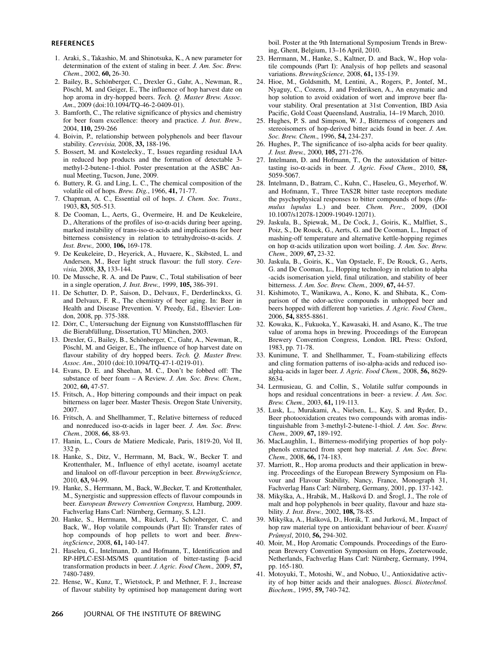## **REFERENCES**

- 1. Araki, S., Takashio, M. and Shinotsuka, K., A new parameter for determination of the extent of staling in beer. *J. Am. Soc. Brew. Chem*., 2002, **60,** 26-30.
- 2. Bailey, B., Schönberger, C., Drexler G., Gahr, A., Newman, R., Pöschl, M. and Geiger, E., The influence of hop harvest date on hop aroma in dry-hopped beers. *Tech. Q. Master Brew. Assoc. Am*., 2009 (doi:10.1094/TQ-46-2-0409-01).
- 3. Bamforth, C., The relative significance of physics and chemistry for beer foam excellence: theory and practice. *J. Inst. Brew.,* 2004, **110,** 259-266
- 4. Boivin, P., relationship between polyphenols and beer flavour stability. *Cerevisia,* 2008, **33,** 188-196.
- 5. Bossert, M. and Kostelecky., T., Issues regarding residual IAA in reduced hop products and the formation of detectable 3 methyl-2-butene-1-thiol. Poster presentation at the ASBC Annual Meeting, Tucson, June, 2009.
- 6. Buttery, R. G. and Ling, L. C., The chemical composition of the volatile oil of hops. *Brew. Dig.*, 1966, **41,** 71-77.
- 7. Chapman, A. C., Essential oil of hops. *J. Chem. Soc. Trans.,* 1903, **83,** 505-513.
- 8. De Cooman, L., Aerts, G., Overmeire, H. and De Keukeleire, D., Alterations of the profiles of iso- $α$ -acids during beer ageing, marked instability of trans-iso-α-acids and implications for beer bitterness consistency in relation to tetrahydroiso-α-acids. *J. Inst. Brew.,* 2000, **106,** 169-178.
- 9. De Keukeleire, D., Heyerick, A., Huvaere, K., Skibsted, L. and Andersen, M., Beer light struck flavour: the full story. *Cerevisia,* 2008, **33,** 133-144.
- 10. De Mussche, R. A. and De Pauw, C., Total stabilisation of beer in a single operation, *J. Inst. Brew.,* 1999, **105,** 386-391.
- 11. De Schutter, D. P., Saison, D., Delvaux, F., Derderlinckxs, G. and Delvaux, F. R., The chemistry of beer aging. In: Beer in Health and Disease Prevention. V. Preedy, Ed., Elsevier: London, 2008, pp. 375-388.
- 12. Dörr, C., Untersuchung der Eignung von Kunststoffflaschen für die Bierabfüllung, Dissertation, TU München, 2003.
- 13. Drexler, G., Bailey, B., Schönberger, C., Gahr, A., Newman, R., Pöschl, M. and Geiger, E., The influence of hop harvest date on flavour stability of dry hopped beers. *Tech. Q. Master Brew. Assoc. Am*., 2010 (doi:10.1094/TQ-47-1-0219-01).
- 14. Evans, D. E. and Sheehan, M. C., Don't be fobbed off: The substance of beer foam – A Review. *J. Am. Soc. Brew. Chem.,* 2002, **60,** 47-57.
- 15. Fritsch, A., Hop bittering compounds and their impact on peak bitterness on lager beer. Master Thesis. Oregon State University, 2007.
- 16. Fritsch, A. and Shellhammer, T., Relative bitterness of reduced and nonreduced iso-α-acids in lager beer. *J. Am. Soc. Brew. Chem.,* 2008, **66**, 88-93.
- 17. Hanin, L., Cours de Matiere Medicale, Paris, 1819-20, Vol II, 332 p.
- 18. Hanke, S., Ditz, V., Herrmann, M, Back, W., Becker T. and Krottenthaler, M., Influence of ethyl acetate, isoamyl acetate and linalool on off-flavour perception in beer. *BrewingScience,* 2010, **63,** 94-99.
- 19. Hanke, S., Herrmann, M., Back, W.,Becker, T. and Krottenthaler, M., Synergistic and suppression effects of flavour compounds in beer. *European Brewery Convention Congress,* Hamburg, 2009. Fachverlag Hans Carl: Nürnberg, Germany, S. L21.
- 20. Hanke, S., Herrmann, M., Rückerl, J., Schönberger, C. and Back, W., Hop volatile compounds (Part II): Transfer rates of hop compounds of hop pellets to wort and beer. *BrewingScience*, 2008, **61,** 140-147.
- 21. Haseleu, G., Intelmann, D. and Hofmann, T., Identification and RP-HPLC-ESI-MS/MS quantitation of bitter-tasting β-acid transformation products in beer. *J. Agric. Food Chem.,* 2009, **57,**  7480-7489.
- 22. Hense, W., Kunz, T., Wietstock, P. and Methner, F. J., Increase of flavour stability by optimised hop management during wort

boil. Poster at the 9th International Symposium Trends in Brewing, Ghent, Belgium, 13–16 April, 2010.

- 23. Herrmann, M., Hanke, S., Kaltner, D. and Back, W., Hop volatile compounds (Part I): Analysis of hop pellets and seasonal variations. *BrewingScience,* 2008, **61,** 135-139.
- 24. Hioe, M., Goldsmith, M, Lentini, A., Rogers, P., Jontef, M., Nyaguy, C., Cozens, J. and Frederiksen, A., An enzymatic and hop solution to avoid oxidation of wort and improve beer flavour stability. Oral presentation at 31st Convention, IBD Asia Pacific, Gold Coast Queensland, Australia, 14–19 March, 2010.
- 25. Hughes, P. S. and Simpson, W. J., Bitterness of congeners and stereoisomers of hop-derived bitter acids found in beer. *J. Am. Soc. Brew. Chem*., 1996, **54,** 234-237.
- 26. Hughes, P., The significance of iso-alpha acids for beer quality. *J. Inst. Brew.,* 2000, **105,** 271-276.
- 27. Intelmann, D. and Hofmann, T., On the autoxidation of bittertasting iso-α-acids in beer. *J. Agric. Food Chem.,* 2010, **58,** 5059-5067.
- 28. Intelmann, D., Batram, C., Kuhn, C., Haseleu, G., Meyerhof, W. and Hofmann, T., Three TAS2R bitter taste receptors mediate the psychophysical responses to bitter compounds of hops (*Humulus lupulus* L.) and beer. *Chem. Perc.,* 2009, (DOI 10.1007/s12078-12009-19049-12071).
- 29. Jaskula, B., Spiewak, M., De Cock, J., Goiris, K., Malfliet, S., Poiz, S., De Rouck, G., Aerts, G. and De Cooman, L., Impact of mashing-off temperature and alternative kettle-hopping regimes on hop α-acids utilization upon wort boiling. *J. Am. Soc. Brew. Chem.,* 2009, **67,** 23-32.
- 30. Jaskula, B., Goiris, K., Van Opstaele, F., De Rouck, G., Aerts, G. and De Cooman, L., Hopping technology in relation to alpha -acids isomerisation yield, final utilization, and stability of beer bitterness. *J. Am. Soc. Brew. Chem.,* 2009, **67,** 44-57.
- 31. Kishimoto, T., Wanikawa, A., Kono, K. and Shibata, K., Comparison of the odor-active compounds in unhopped beer and beers hopped with different hop varieties. *J. Agric. Food Chem.,* 2006, **54,** 8855-8861.
- 32. Kowaka, K., Fukuoka, Y., Kawasaki, H. and Asano, K., The true value of aroma hops in brewing. Proceedings of the European Brewery Convention Congress, London. IRL Press: Oxford, 1983, pp. 71-78.
- 33. Kunimune, T. and Shellhammer, T., Foam-stabilizing effects and cling formation patterns of iso-alpha-acids and reduced isoalpha-acids in lager beer. *J. Agric. Food Chem.,* 2008, **56,** 8629- 8634.
- 34. Lermusieau, G. and Collin, S., Volatile sulfur compounds in hops and residual concentrations in beer- a review. *J. Am. Soc. Brew. Chem.,* 2003, **61,** 119-113.
- 35. Lusk, L., Murakami, A., Nielsen, L., Kay, S. and Ryder, D., Beer photooxidation creates two compounds with aromas indistinguishable from 3-methyl-2-butene-1-thiol. *J. Am. Soc. Brew. Chem.,* 2009, **67,** 189-192.
- 36. MacLaughlin, I., Bitterness-modifying properties of hop polyphenols extracted from spent hop material. *J. Am. Soc. Brew. Chem.,* 2008, **66,** 174-183.
- 37. Marriott, R., Hop aroma products and their application in brewing. Proceedings of the European Brewery Symposium on Flavour and Flavour Stability, Nancy, France, Monograph 31, Fachverlag Hans Carl: Nürnberg, Germany, 2001, pp. 137-142.
- 38. Mikyška, A., Hrabák, M., Hašková D. and Šrogl, J., The role of malt and hop polyphenols in beer quality, flavour and haze stability. *J. Inst. Brew.,* 2002, **108,** 78-85.
- 39. Mikyška, A., Hašková, D., Horák, T. and Jurková, M., Impact of hop raw material type on antioxidant behaviour of beer. *Kvasný Průmysl*, 2010, **56,** 294-302.
- 40. Moir, M., Hop Aromatic Compounds. Proceedings of the European Brewery Convention Symposium on Hops, Zoeterwoude, Netherlands, Fachverlag Hans Carl: Nürnberg, Germany, 1994, pp. 165-180.
- 41. Motoyuki, T., Motoshi, W., and Nobuo, U., Antioxidative activity of hop bitter acids and their analogues. *Biosci. Biotechnol. Biochem.,* 1995, **59,** 740-742.